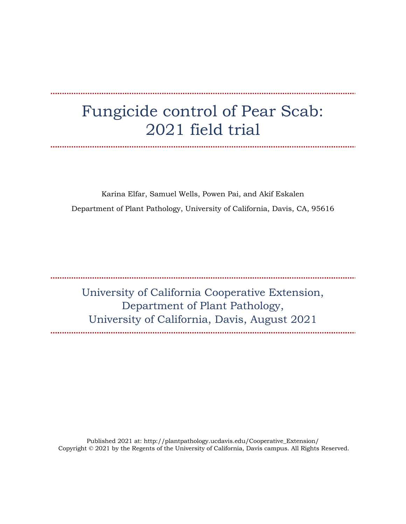# Fungicide control of Pear Scab: 2021 field trial

Karina Elfar, Samuel Wells, Powen Pai, and Akif Eskalen Department of Plant Pathology, University of California, Davis, CA, 95616

University of California Cooperative Extension, Department of Plant Pathology, University of California, Davis, August 2021

Published 2021 at: http://plantpathology.ucdavis.edu/Cooperative\_Extension/ Copyright © 2021 by the Regents of the University of California, Davis campus. All Rights Reserved.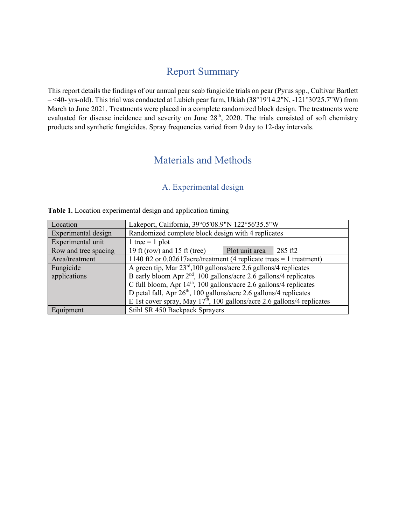### Report Summary

This report details the findings of our annual pear scab fungicide trials on pear (Pyrus spp., Cultivar Bartlett – <40- yrs-old). This trial was conducted at Lubich pear farm, Ukiah (38°19'14.2"N, -121°30'25.7"W) from March to June 2021. Treatments were placed in a complete randomized block design. The treatments were evaluated for disease incidence and severity on June 28<sup>th</sup>, 2020. The trials consisted of soft chemistry products and synthetic fungicides. Spray frequencies varied from 9 day to 12-day intervals.

### Materials and Methods

#### A. Experimental design

| Location             | Lakeport, California, 39°05'08.9"N 122°56'35.5"W                               |  |  |
|----------------------|--------------------------------------------------------------------------------|--|--|
| Experimental design  | Randomized complete block design with 4 replicates                             |  |  |
| Experimental unit    | 1 tree = $1$ plot                                                              |  |  |
| Row and tree spacing | 19 ft (row) and 15 ft (tree)<br>Plot unit area<br>285 ft2                      |  |  |
| Area/treatment       | 1140 ft2 or $0.02617$ acre/treatment (4 replicate trees = 1 treatment)         |  |  |
| Fungicide            | A green tip, Mar $23rd$ , 100 gallons/acre 2.6 gallons/4 replicates            |  |  |
| applications         | B early bloom Apr $2nd$ , 100 gallons/acre 2.6 gallons/4 replicates            |  |  |
|                      | C full bloom, Apr $14th$ , 100 gallons/acre 2.6 gallons/4 replicates           |  |  |
|                      | D petal fall, Apr 26 <sup>th</sup> , 100 gallons/acre 2.6 gallons/4 replicates |  |  |
|                      | E 1st cover spray, May $17th$ , 100 gallons/acre 2.6 gallons/4 replicates      |  |  |
| Equipment            | Stihl SR 450 Backpack Sprayers                                                 |  |  |

**Table 1.** Location experimental design and application timing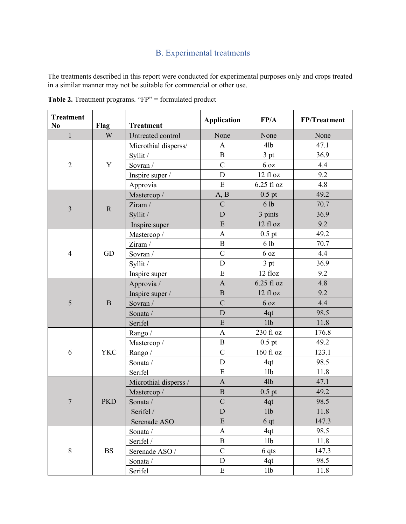## B. Experimental treatments

The treatments described in this report were conducted for experimental purposes only and crops treated in a similar manner may not be suitable for commercial or other use.

| <b>Treatment</b><br>N <sub>0</sub> | Flag        | <b>Treatment</b>      | <b>Application</b>        | FP/A            | FP/Treatment |
|------------------------------------|-------------|-----------------------|---------------------------|-----------------|--------------|
| $\mathbf{1}$                       | W           | Untreated control     | None                      | None            | None         |
| $\overline{2}$                     |             | Microthial disperss/  | $\mathbf{A}$              | 4lb             | 47.1         |
|                                    |             | Syllit /              | $\, {\bf B}$              | 3 pt            | 36.9         |
|                                    | Y           | Sovran /              | $\mathbf C$               | 6 oz            | 4.4          |
|                                    |             | Inspire super /       | $\mathbf D$               | $12$ fl $oz$    | 9.2          |
|                                    |             | Approvia              | ${\bf E}$                 | 6.25 fl oz      | 4.8          |
|                                    |             | Mastercop /           | A, B                      | $0.5$ pt        | 49.2         |
| $\overline{3}$                     | $\mathbf R$ | Ziram /               | $\overline{C}$            | 6lb             | 70.7         |
|                                    |             | Syllit /              | $\mathbf D$               | 3 pints         | 36.9         |
|                                    |             | Inspire super         | E                         | 12 fl oz        | 9.2          |
|                                    |             | Mastercop/            | $\mathbf{A}$              | $0.5$ pt        | 49.2         |
|                                    |             | Ziram /               | $\, {\bf B}$              | 6 lb            | 70.7         |
| $\overline{4}$                     | GD          | Sovran /              | $\mathbf C$               | 6 <sub>oz</sub> | 4.4          |
|                                    |             | Syllit /              | $\mathbf D$               | 3 pt            | 36.9         |
|                                    |             | Inspire super         | ${\bf E}$                 | 12 floz         | 9.2          |
|                                    |             | Approvia /            | $\mathbf{A}$              | 6.25 fl oz      | 4.8          |
|                                    |             | Inspire super /       | $\, {\bf B}$              | 12 fl oz        | 9.2          |
| 5                                  | $\bf{B}$    | Sovran /              | $\overline{C}$            | 6 <sub>oz</sub> | 4.4          |
|                                    |             | Sonata /              | $\mathbf D$               | 4qt             | 98.5         |
|                                    |             | Serifel               | ${\bf E}$                 | 11b             | 11.8         |
|                                    | <b>YKC</b>  | Rango /               | $\boldsymbol{\mathsf{A}}$ | 230 fl oz       | 176.8        |
|                                    |             | Mastercop /           | $\overline{B}$            | $0.5$ pt        | 49.2         |
| 6                                  |             | Rango /               | $\overline{C}$            | 160 fl oz       | 123.1        |
|                                    |             | Sonata /              | $\mathbf D$               | 4qt             | 98.5         |
|                                    |             | Serifel               | E                         | 11b             | 11.8         |
|                                    | <b>PKD</b>  | Microthial disperss / | $\mathbf{A}$              | 4lb             | 47.1         |
|                                    |             | Mastercop/            | $\, {\bf B}$              | $0.5$ pt        | 49.2         |
| $\boldsymbol{7}$                   |             | Sonata /              | $\overline{C}$            | 4qt             | 98.5         |
|                                    |             | Serifel /             | $\mathbf D$               | 11 <sub>b</sub> | 11.8         |
|                                    |             | Serenade ASO          | ${\bf E}$                 | 6 <sub>qt</sub> | 147.3        |
|                                    |             | Sonata /              | $\mathbf{A}$              | 4qt             | 98.5         |
|                                    |             | Serifel /             | $\, {\bf B}$              | 11 <sub>b</sub> | 11.8         |
| $\,8\,$                            | <b>BS</b>   | Serenade ASO /        | $\overline{C}$            | $6$ qts         | 147.3        |
|                                    |             | Sonata /              | $\mathbf{D}$              | 4qt             | 98.5         |
|                                    |             | Serifel               | E                         | 11b             | 11.8         |

Table 2. Treatment programs. "FP" = formulated product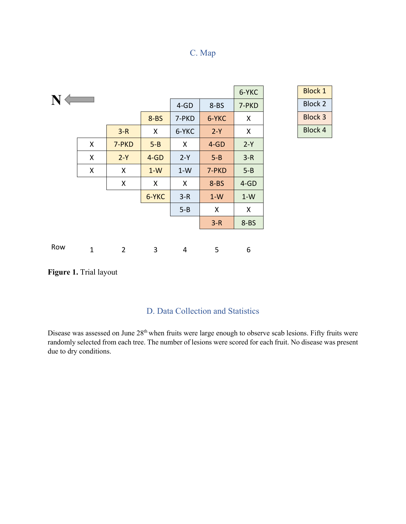#### C. Map

| $N \leftarrow$<br>$4-GD$<br>$8 - BS$<br>7-PKD             | <b>Block 2</b> |
|-----------------------------------------------------------|----------------|
| $8 - BS$<br>6-YKC<br>7-PKD<br>X                           | <b>Block 3</b> |
| 6-YKC<br>$3-R$<br>$2-Y$<br>X<br>X                         | <b>Block 4</b> |
| X<br>$2-Y$<br>7-PKD<br>$5 - B$<br>$4-GD$<br>X             |                |
| X<br>$3-R$<br>$2-Y$<br>$4-GD$<br>$2-Y$<br>$5 - B$         |                |
| $5 - B$<br>X<br>X<br>$1-W$<br>$1-W$<br>7-PKD              |                |
| X<br>X<br>$8 - BS$<br>$4-GD$<br>X                         |                |
| 6-YKC<br>$3-R$<br>$1-W$<br>$1-W$                          |                |
| $5 - B$<br>X<br>X                                         |                |
| $8 - BS$<br>$3-R$                                         |                |
|                                                           |                |
| Row<br>$\mathbf{1}$<br>$\overline{2}$<br>3<br>5<br>6<br>4 |                |

| 6-YKC | Block 1        |
|-------|----------------|
| 7-PKD | Block 2        |
| x     | Block 3        |
| Y     | <b>Block 4</b> |

**Figure 1.** Trial layout

#### D. Data Collection and Statistics

Disease was assessed on June 28<sup>th</sup> when fruits were large enough to observe scab lesions. Fifty fruits were randomly selected from each tree. The number of lesions were scored for each fruit. No disease was present due to dry conditions.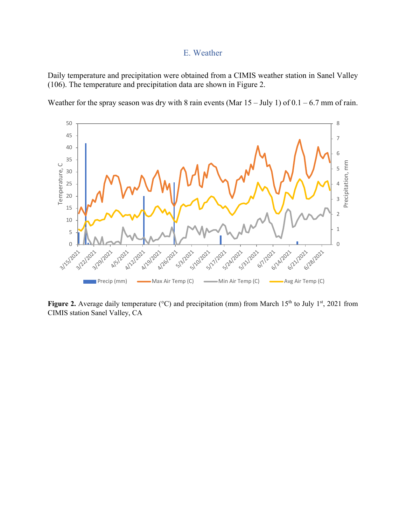#### E. Weather

Daily temperature and precipitation were obtained from a CIMIS weather station in Sanel Valley (106). The temperature and precipitation data are shown in Figure 2.





**Figure 2.** Average daily temperature ( $^{\circ}$ C) and precipitation (mm) from March 15<sup>th</sup> to July 1<sup>st</sup>, 2021 from CIMIS station Sanel Valley, CA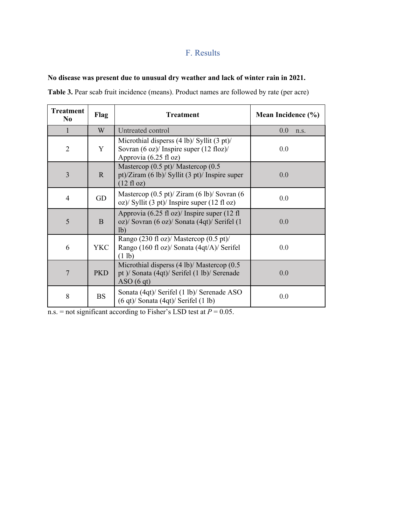#### F. Results

#### **No disease was present due to unusual dry weather and lack of winter rain in 2021.**

**Table 3.** Pear scab fruit incidence (means). Product names are followed by rate (per acre)

| <b>Treatment</b><br>N <sub>0</sub> | Flag         | <b>Treatment</b>                                                                                                                                            | Mean Incidence (%) |  |
|------------------------------------|--------------|-------------------------------------------------------------------------------------------------------------------------------------------------------------|--------------------|--|
| 1                                  | W            | Untreated control                                                                                                                                           | 0.0<br>n.s.        |  |
| $\overline{2}$                     | Y            | Microthial disperss $(4 \text{ lb})$ / Syllit $(3 \text{ pt})$ /<br>Sovran (6 oz)/ Inspire super (12 floz)/<br>Approvia (6.25 fl oz)                        | 0.0                |  |
| 3                                  | $\mathbb{R}$ | Mastercop $(0.5 \text{ pt})$ / Mastercop $(0.5 \text{ pt})$<br>pt)/Ziram $(6 \text{ lb})$ / Syllit $(3 \text{ pt})$ / Inspire super<br>$(12 \text{ fl oz})$ | 0.0                |  |
| $\overline{4}$                     | GD           | Mastercop $(0.5 \text{ pt})$ / Ziram $(6 \text{ lb})$ / Sovran $(6 \text{ lb})$<br>oz)/ Syllit (3 pt)/ Inspire super (12 fl oz)                             | 0.0                |  |
| 5                                  | B            | Approvia (6.25 fl oz)/ Inspire super (12 fl<br>oz)/ Sovran (6 oz)/ Sonata (4qt)/ Serifel (1<br>1 <sub>b</sub>                                               | 0.0                |  |
| 6                                  | <b>YKC</b>   | Rango (230 fl oz)/ Mastercop (0.5 pt)/<br>Rango (160 fl oz)/ Sonata (4qt/A)/ Serifel<br>(1 lb)                                                              | 0.0                |  |
| 7                                  | <b>PKD</b>   | Microthial disperss $(4 \text{ lb})$ Mastercop $(0.5 \text{ lb})$<br>pt )/ Sonata (4qt)/ Serifel (1 lb)/ Serenade<br>ASO(6 qt)                              | 0.0                |  |
| 8                                  | <b>BS</b>    | Sonata (4qt)/ Serifel (1 lb)/ Serenade ASO<br>$(6 qt)$ Sonata $(4 qt)$ Serifel $(1 lb)$                                                                     | 0.0                |  |

n.s. = not significant according to Fisher's LSD test at  $P = 0.05$ .